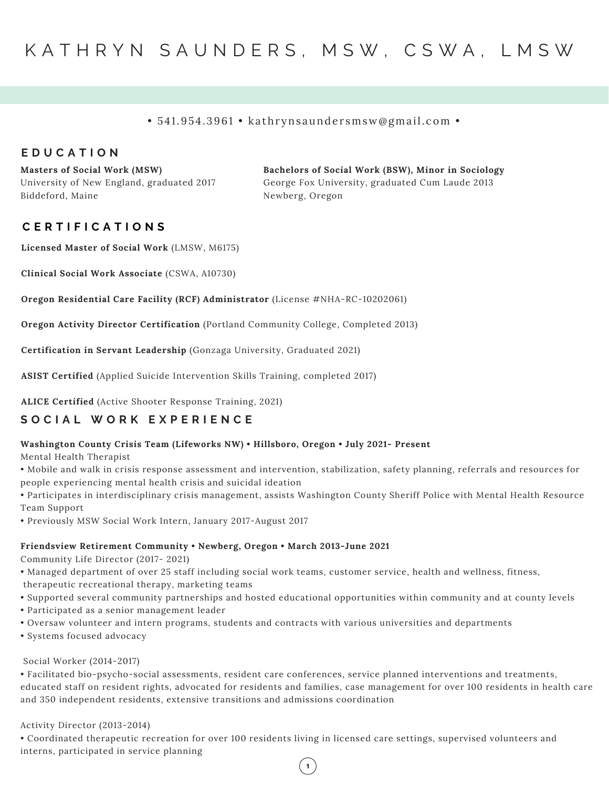#### • 541.954.3961 • kathrynsaundersmsw@gmail.com •

### **E D U C A T I O N**

**Masters of Social Work (MSW)** University of New England, graduated 2017 Biddeford, Maine

**Bachelors of Social Work (BSW), Minor in Sociology** George Fox University, graduated Cum Laude 2013 Newberg, Oregon

## **C E R T I F I C A T I O N S**

**Licensed Master of Social Work** (LMSW, M6175)

**Clinical Social Work Associate** (CSWA, A10730)

**Oregon Residential Care Facility (RCF) Administrator** (License #NHA-RC-10202061)

**Oregon Activity Director Certification** (Portland Community College, Completed 2013)

**Certification in Servant Leadership** (Gonzaga University, Graduated 2021)

**ASIST Certified** (Applied Suicide Intervention Skills Training, completed 2017)

**ALICE Certified** (Active Shooter Response Training, 2021)

# **S O C I A L W O R K E X P E R I E N C E**

#### **Washington County Crisis Team (Lifeworks NW) • Hillsboro, Oregon • July 2021- Present**

Mental Health Therapist

• Mobile and walk in crisis response assessment and intervention, stabilization, safety planning, referrals and resources for people experiencing mental health crisis and suicidal ideation

• Participates in interdisciplinary crisis management, assists Washington County Sheriff Police with Mental Health Resource Team Support

• Previously MSW Social Work Intern, January 2017-August 2017

#### **Friendsview Retirement Community • Newberg, Oregon • March 2013-June 2021**

Community Life Director (2017- 2021)

- Managed department of over 25 staff including social work teams, customer service, health and wellness, fitness,
- therapeutic recreational therapy, marketing teams
- Supported several community partnerships and hosted educational opportunities within community and at county levels
- Participated as a senior management leader
- Oversaw volunteer and intern programs, students and contracts with various universities and departments
- Systems focused advocacy

#### Social Worker (2014-2017)

• Facilitated bio-psycho-social assessments, resident care conferences, service planned interventions and treatments, educated staff on resident rights, advocated for residents and families, case management for over 100 residents in health care and 350 independent residents, extensive transitions and admissions coordination

 $\mathbf{1}$ 

#### Activity Director (2013-2014)

• Coordinated therapeutic recreation for over 100 residents living in licensed care settings, supervised volunteers and interns, participated in service planning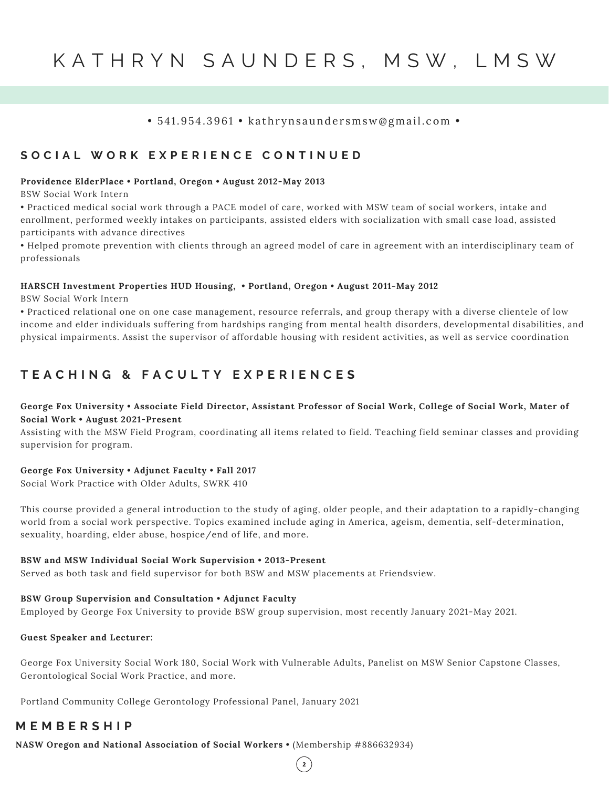# K A T H R Y N S A U N D E R S , M S W , L M S W

## • 541.954.3961 • kathrynsaundersmsw@gmail.com •

# SOCIAL WORK EXPERIENCE CONTINUED

#### **Providence ElderPlace • Portland, Oregon • August 2012-May 2013**

BSW Social Work Intern

• Practiced medical social work through a PACE model of care, worked with MSW team of social workers, intake and enrollment, performed weekly intakes on participants, assisted elders with socialization with small case load, assisted participants with advance directives

• Helped promote prevention with clients through an agreed model of care in agreement with an interdisciplinary team of professionals

#### **HARSCH Investment Properties HUD Housing, • Portland, Oregon • August 2011-May 2012**

BSW Social Work Intern

• Practiced relational one on one case management, resource referrals, and group therapy with a diverse clientele of low income and elder individuals suffering from hardships ranging from mental health disorders, developmental disabilities, and physical impairments. Assist the supervisor of affordable housing with resident activities, as well as service coordination

# TEACHING & FACULTY EXPERIENCES

### George Fox University . Associate Field Director, Assistant Professor of Social Work, College of Social Work, Mater of **Social Work • August 2021-Present**

Assisting with the MSW Field Program, coordinating all items related to field. Teaching field seminar classes and providing supervision for program.

#### **George Fox University • Adjunct Faculty • Fall 2017**

Social Work Practice with Older Adults, SWRK 410

This course provided a general introduction to the study of aging, older people, and their adaptation to a rapidly-changing world from a social work perspective. Topics examined include aging in America, ageism, dementia, self-determination, sexuality, hoarding, elder abuse, hospice/end of life, and more.

#### **BSW and MSW Individual Social Work Supervision • 2013-Present**

Served as both task and field supervisor for both BSW and MSW placements at Friendsview.

## **BSW Group Supervision and Consultation • Adjunct Faculty**

Employed by George Fox University to provide BSW group supervision, most recently January 2021-May 2021.

## **Guest Speaker and Lecturer:**

George Fox University Social Work 180, Social Work with Vulnerable Adults, Panelist on MSW Senior Capstone Classes, Gerontological Social Work Practice, and more.

 $\left( \begin{array}{c} 2 \end{array} \right)$ 

Portland Community College Gerontology Professional Panel, January 2021

# **M E M B E R S H I P**

**NASW Oregon and National Association of Social Workers •** (Membership #886632934)